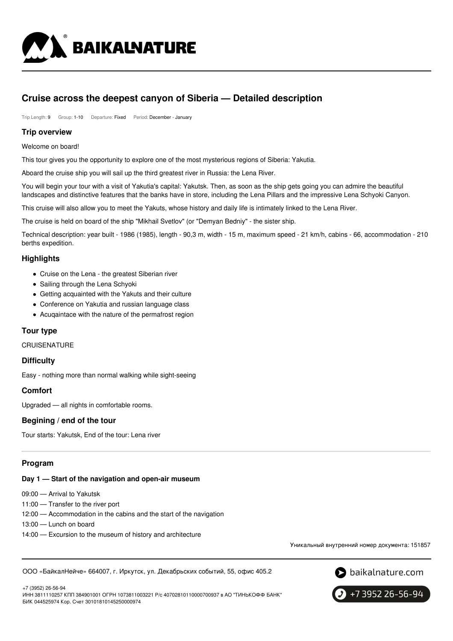

# **Cruise across the deepest canyon of Siberia — Detailed description**

Trip Length: 9 Group: 1-10 Departure: Fixed Period: December - January

#### **Trip overview**

Welcome on board!

This tour gives you the opportunity to explore one of the most mysterious regions of Siberia: Yakutia.

Aboard the cruise ship you will sail up the third greatest river in Russia: the Lena River.

You will begin your tour with a visit of Yakutia's capital: Yakutsk. Then, as soon as the ship gets going you can admire the beautiful landscapes and distinctive features that the banks have in store, including the Lena Pillars and the impressive Lena Schyoki Canyon.

This cruise will also allow you to meet the Yakuts, whose history and daily life is intimately linked to the Lena River.

The cruise is held on board of the ship "Mikhail Svetlov" (or "Demyan Bedniy" - the sister ship.

Technical description: year built - 1986 (1985), length - 90,3 m, width - 15 m, maximum speed - 21 km/h, cabins - 66, accommodation - 210 berths expedition.

# **Highlights**

- Cruise on the Lena the greatest Siberian river
- Sailing through the Lena Schyoki
- Getting acquainted with the Yakuts and their culture
- Conference on Yakutia and russian language class
- Acuqaintace with the nature of the permafrost region

### **Tour type**

**CRUISENATURE** 

### **Difficulty**

Easy - nothing more than normal walking while sight-seeing

### **Comfort**

Upgraded — all nights in comfortable rooms.

### **Begining / end of the tour**

Tour starts: Yakutsk, End of the tour: Lena river

# **Program**

#### **Day 1 — Start of the navigation and open-air museum**

09:00 — Arrival to Yakutsk

- 11:00 Transfer to the river port
- 12:00 Accommodation in the cabins and the start of the navigation
- 13:00 Lunch on board
- 14:00 Excursion to the museum of history and architecture

Уникальный внутренний номер документа: 151857

ООО «БайкалНейче» 664007, г. Иркутск, ул. Декабрьских событий, 55, офис 405.2

 $\bullet$  baikalnature.com

+7 3952 26-56-94

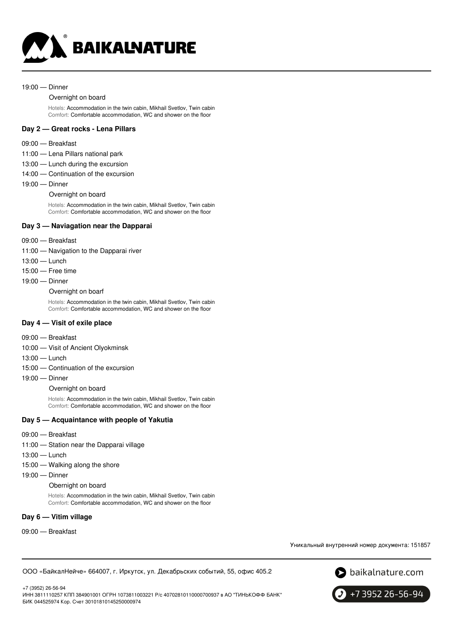

#### 19:00 — Dinner

#### Overnight on board

Hotels: Accommodation in the twin cabin, Mikhail Svetlov, Twin cabin Comfort: Comfortable accommodation, WC and shower on the floor

#### **Day 2 — Great rocks - Lena Pillars**

#### 09:00 — Breakfast

- 11:00 Lena Pillars national park
- 13:00 Lunch during the excursion
- 14:00 Continuation of the excursion
- 19:00 Dinner

#### Overnight on board

Hotels: Accommodation in the twin cabin, Mikhail Svetlov, Twin cabin Comfort: Comfortable accommodation, WC and shower on the floor

#### **Day 3 — Naviagation near the Dapparai**

- 09:00 Breakfast
- 11:00 Navigation to the Dapparai river
- 13:00 Lunch
- 15:00 Free time
- 19:00 Dinner
	- Overnight on boarf

Hotels: Accommodation in the twin cabin, Mikhail Svetlov, Twin cabin Comfort: Comfortable accommodation, WC and shower on the floor

#### **Day 4 — Visit of exile place**

- 09:00 Breakfast
- 10:00 Visit of Ancient Olyokminsk
- 13:00 Lunch
- 15:00 Continuation of the excursion
- 19:00 Dinner

Overnight on board

Hotels: Accommodation in the twin cabin, Mikhail Svetlov, Twin cabin Comfort: Comfortable accommodation, WC and shower on the floor

#### **Day 5 — Acquaintance with people of Yakutia**

- 09:00 Breakfast
- 11:00 Station near the Dapparai village
- 13:00 Lunch
- 15:00 Walking along the shore
- 19:00 Dinner

#### Obernight on board

Hotels: Accommodation in the twin cabin, Mikhail Svetlov, Twin cabin Comfort: Comfortable accommodation, WC and shower on the floor

#### **Day 6 — Vitim village**

09:00 — Breakfast

Уникальный внутренний номер документа: 151857

ООО «БайкалНейче» 664007, г. Иркутск, ул. Декабрьских событий, 55, офис 405.2



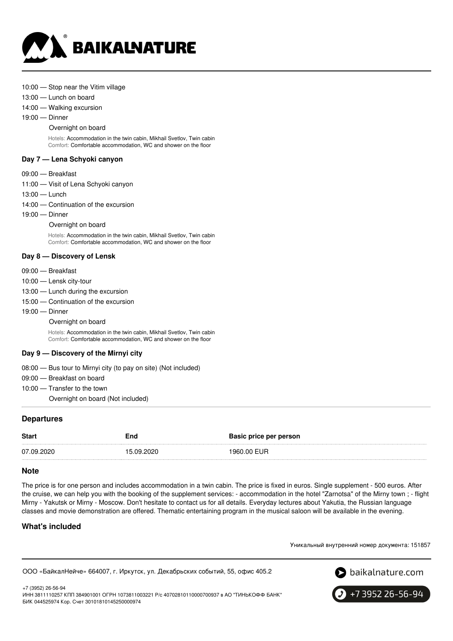

#### 10:00 — Stop near the Vitim village

13:00 — Lunch on board

14:00 — Walking excursion

19:00 — Dinner

#### Overnight on board

Hotels: Accommodation in the twin cabin, Mikhail Svetlov, Twin cabin Comfort: Comfortable accommodation, WC and shower on the floor

#### **Day 7 — Lena Schyoki canyon**

#### 09:00 — Breakfast

- 11:00 Visit of Lena Schyoki canyon
- 13:00 Lunch
- 14:00 Continuation of the excursion
- 19:00 Dinner

Overnight on board

Hotels: Accommodation in the twin cabin, Mikhail Svetlov, Twin cabin Comfort: Comfortable accommodation, WC and shower on the floor

#### **Day 8 — Discovery of Lensk**

- 09:00 Breakfast
- 10:00 Lensk city-tour
- 13:00 Lunch during the excursion
- 15:00 Continuation of the excursion
- 19:00 Dinner
	- Overnight on board

Hotels: Accommodation in the twin cabin, Mikhail Svetlov, Twin cabin Comfort: Comfortable accommodation, WC and shower on the floor

### **Day 9 — Discovery of the Mirnyi city**

- 08:00 Bus tour to Mirnyi city (to pay on site) (Not included)
- 09:00 Breakfast on board
- 10:00 Transfer to the town
	- Overnight on board (Not included)

### **Departures**

| <b>Start</b><br>End |            | Basic price per person |
|---------------------|------------|------------------------|
| 07.09.2020          | 15.09.2020 | 1960.00 EUR            |

#### **Note**

The price is for one person and includes accommodation in a twin cabin. The price is fixed in euros. Single supplement - 500 euros. After the cruise, we can help you with the booking of the supplement services: - accommodation in the hotel "Zarnotsa" of the Mirny town ; - flight Mirny - Yakutsk or Mirny - Moscow. Don't hesitate to contact us for all details. Everyday lectures about Yakutia, the Russian language classes and movie demonstration are offered. Thematic entertaining program in the musical saloon will be available in the evening.

### **What's included**

Уникальный внутренний номер документа: 151857

ООО «БайкалНейче» 664007, г. Иркутск, ул. Декабрьских событий, 55, офис 405.2



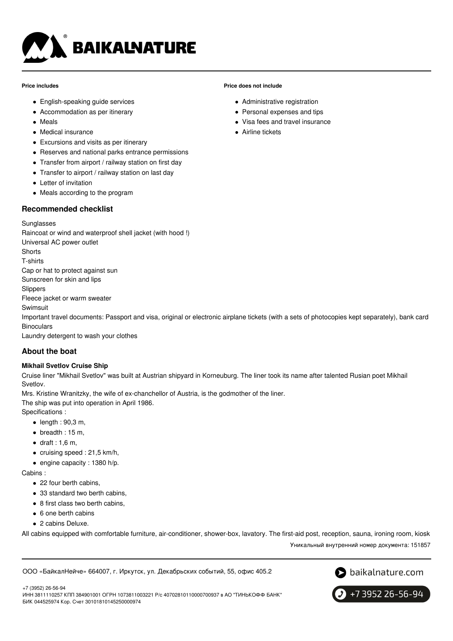

#### **Price includes**

- English-speaking guide services
- Accommodation as per itinerary
- Meals
- Medical insurance
- Excursions and visits as per itinerary
- Reserves and national parks entrance permissions
- Transfer from airport / railway station on first day
- Transfer to airport / railway station on last day
- Letter of invitation
- Meals according to the program

### **Recommended checklist**

#### **Sunglasses**

Raincoat or wind and waterproof shell jacket (with hood !) Universal AC power outlet **Shorts** T-shirts Cap or hat to protect against sun Sunscreen for skin and lips Slippers Fleece jacket or warm sweater Swimsuit Important travel documents: Passport and visa, original or electronic airplane tickets (with a sets of photocopies kept separately), bank card **Binoculars** Laundry detergent to wash your clothes **About the boat**

### **Mikhail Svetlov Cruise Ship**

Cruise liner "Mikhail Svetlov" was built at Austrian shipyard in Korneuburg. The liner took its name after talented Rusian poet Mikhail Svetlov.

Mrs. Kristine Wranitzky, the wife of ex-chanchellor of Austria, is the godmother of the liner.

The ship was put into operation in April 1986.

Specifications :

- $\bullet$  length : 90,3 m,
- $\bullet$  breadth : 15 m,
- $\bullet$  draft : 1,6 m,
- cruising speed : 21,5 km/h,
- $\bullet$  engine capacity : 1380 h/p.

Cabins :

- 22 four berth cabins,
- 33 standard two berth cabins,
- 8 first class two berth cabins,
- 6 one berth cabins
- 2 cabins Deluxe.

All cabins equipped with comfortable furniture, air-conditioner, shower-box, lavatory. The first-aid post, reception, sauna, ironing room, kiosk

Уникальный внутренний номер документа: 151857

ООО «БайкалНейче» 664007, г. Иркутск, ул. Декабрьских событий, 55, офис 405.2



+7 3952 26-56-94

+7 (3952) 26-56-94



**Price does not include**

- Administrative registration
- Personal expenses and tips
- Visa fees and travel insurance
- **Airline tickets**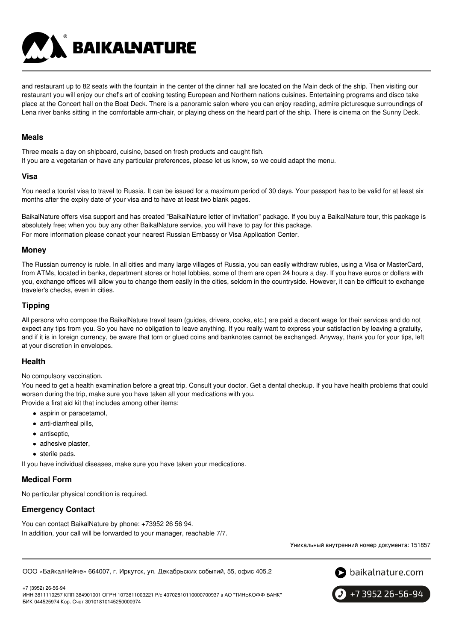and restaurant up to 82 seats with the fountain in the center of the dinner hall are located on the Main deck of the ship. Then visiting our restaurant you will enjoy our chef's art of cooking testing European and Northern nations cuisines. Entertaining programs and disco take place at the Concert hall on the Boat Deck. There is a panoramic salon where you can enjoy reading, admire picturesque surroundings of Lena river banks sitting in the comfortable arm-chair, or playing chess on the heard part of the ship. There is cinema on the Sunny Deck.

#### **Meals**

Three meals a day on shipboard, cuisine, based on fresh products and caught fish. If you are a vegetarian or have any particular preferences, please let us know, so we could adapt the menu.

**BAIKALNATURE** 

#### **Visa**

You need a tourist visa to travel to Russia. It can be issued for a maximum period of 30 days. Your passport has to be valid for at least six months after the expiry date of your visa and to have at least two blank pages.

BaikalNature offers visa support and has created "BaikalNature letter of invitation" package. If you buy a BaikalNature tour, this package is absolutely free; when you buy any other BaikalNature service, you will have to pay for this package. For more information please conact your nearest Russian Embassy or Visa Application Center.

### **Money**

The Russian currency is ruble. In all cities and many large villages of Russia, you can easily withdraw rubles, using a Visa or MasterCard, from ATMs, located in banks, department stores or hotel lobbies, some of them are open 24 hours a day. If you have euros or dollars with you, exchange offices will allow you to change them easily in the cities, seldom in the countryside. However, it can be difficult to exchange traveler's checks, even in cities.

# **Tipping**

All persons who compose the BaikalNature travel team (guides, drivers, cooks, etc.) are paid a decent wage for their services and do not expect any tips from you. So you have no obligation to leave anything. If you really want to express your satisfaction by leaving a gratuity, and if it is in foreign currency, be aware that torn or glued coins and banknotes cannot be exchanged. Anyway, thank you for your tips, left at your discretion in envelopes.

### **Health**

No compulsory vaccination.

You need to get a health examination before a great trip. Consult your doctor. Get a dental checkup. If you have health problems that could worsen during the trip, make sure you have taken all your medications with you. Provide a first aid kit that includes among other items:

- aspirin or paracetamol,
- anti-diarrheal pills,
- antiseptic,
- adhesive plaster,
- sterile pads.

If you have individual diseases, make sure you have taken your medications.

### **Medical Form**

No particular physical condition is required.

# **Emergency Contact**

You can contact BaikalNature by phone: +73952 26 56 94. In addition, your call will be forwarded to your manager, reachable 7/7.

Уникальный внутренний номер документа: 151857

ООО «БайкалНейче» 664007, г. Иркутск, ул. Декабрьских событий, 55, офис 405.2





+7 3952 26-56-94